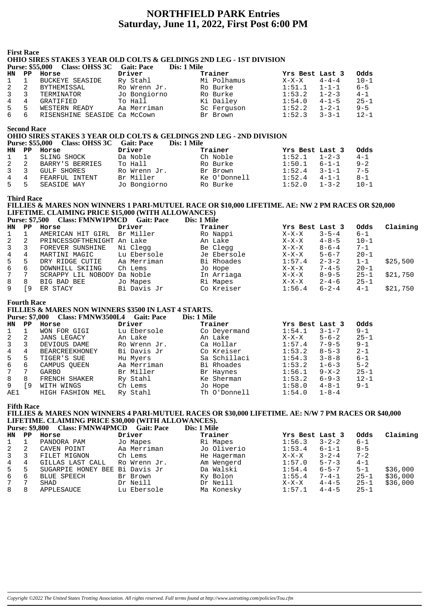# **NORTHFIELD PARK Entries Saturday, June 11, 2022, First Post 6:00 PM**

|                         | <b>First Race</b>     |                                                                                            |              |                                                                                                      |                                      |             |             |          |
|-------------------------|-----------------------|--------------------------------------------------------------------------------------------|--------------|------------------------------------------------------------------------------------------------------|--------------------------------------|-------------|-------------|----------|
|                         |                       |                                                                                            |              | <b>OHIO SIRES STAKES 3 YEAR OLD COLTS &amp; GELDINGS 2ND LEG - 1ST DIVISION</b>                      |                                      |             |             |          |
|                         |                       | Purse: \$55,000 Class: OHSS 3C Gait: Pace                                                  |              | Dis: 1 Mile                                                                                          |                                      |             |             |          |
| HN                      |                       | PP Horse                                                                                   | Driver       | Trainer                                                                                              | Yrs Best Last 3                      |             | Odds        |          |
| 1                       | $\mathbf{1}$          | <b>BUCKEYE SEASIDE</b>                                                                     | Ry Stahl     | Mi Polhamus<br>Ro Burke                                                                              | $X-X-X$                              | $4 - 4 - 4$ | $10 - 1$    |          |
| $\overline{\mathbf{c}}$ | $\overline{a}$        | BYTHEMISSAL<br>TERMINATOR                                                                  | Ro Wrenn Jr. |                                                                                                      | $1:51.1$ $1-1-1$                     |             | $6 - 5$     |          |
| 3                       | $\mathbf{3}$          |                                                                                            | Jo Bongiorno | RO Burke<br>Ro Burke<br>Ki Dailey<br>Sc Ferguson                                                     | $1:53.2$ $1-2-3$                     |             | $4 - 1$     |          |
| $\overline{4}$          | $4\overline{ }$       | GRATIFIED                                                                                  | To Hall      |                                                                                                      | $1:54.0$ $4-1-5$<br>$1:52.2$ $1-2-1$ |             | $25 - 1$    |          |
| 5                       | 5 <sub>5</sub>        | WESTERN READY                                                                              | Aa Merriman  |                                                                                                      |                                      |             | $9 - 5$     |          |
| б                       | 6                     | RISENSHINE SEASIDE Ca McCown                                                               |              | Br Brown                                                                                             | $1:52.3$ $3-3-1$                     |             | $12 - 1$    |          |
|                         | <b>Second Race</b>    |                                                                                            |              |                                                                                                      |                                      |             |             |          |
|                         |                       |                                                                                            |              | OHIO SIRES STAKES 3 YEAR OLD COLTS & GELDINGS 2ND LEG - 2ND DIVISION                                 |                                      |             |             |          |
|                         |                       | Purse: \$55,000 Class: OHSS 3C Gait: Pace                                                  |              | Dis: 1 Mile                                                                                          |                                      |             |             |          |
| HN                      |                       | PP Horse                                                                                   | Driver       | Trainer                                                                                              | Yrs Best Last 3                      |             | Odds        |          |
| $\mathbf 1$             | $\mathbf{1}$          | SLING SHOCK<br>BARRY'S BERRIES<br>GULF SHORES<br>FEARFUL INTENT                            | Da Noble     | Ch Noble                                                                                             | $1:52.1$ $1-2-3$                     |             | $4 - 1$     |          |
| 2                       | $\overline{a}$        |                                                                                            | To Hall      | Ro Burke                                                                                             | $1:50.1$ $6-1-1$                     |             | $9 - 2$     |          |
| 3                       | 3 <sup>7</sup>        |                                                                                            | Ro Wrenn Jr. | Br Brown<br>Ke O'Donnell                                                                             | $1:52.4$ $3-1-1$<br>$1:52.4$ $4-1-1$ |             | $7 - 5$     |          |
| $\overline{4}$          | $4\overline{ }$       |                                                                                            | Br Miller    |                                                                                                      |                                      |             | $8 - 1$     |          |
| 5                       | $5 -$                 | SEASIDE WAY                                                                                | Jo Bongiorno | Ro Burke                                                                                             | $1:52.0$ $1-3-2$                     |             | $10 - 1$    |          |
|                         | Third Race            |                                                                                            |              |                                                                                                      |                                      |             |             |          |
|                         |                       |                                                                                            |              | FILLIES & MARES NON WINNERS 1 PARI-MUTUEL RACE OR \$10,000 LIFETIME. AE: NW 2 PM RACES OR \$20,000   |                                      |             |             |          |
|                         |                       | LIFETIME. CLAIMING PRICE \$15,000 (WITH ALLOWANCES)                                        |              |                                                                                                      |                                      |             |             |          |
|                         |                       | Purse: \$7,500 Class: FMNW1PMCD Gait: Pace                                                 |              | Dis: 1 Mile                                                                                          |                                      |             |             |          |
| HN                      |                       | PP Horse                                                                                   | Driver       | Trainer                                                                                              | Yrs Best Last 3                      |             | Odds        | Claiming |
| 1                       | $\mathbf{1}$          | AMERICAN HIT GIRL Br Miller                                                                |              | Ro Nappi                                                                                             | $X-X-X$                              | $3 - 5 - 4$ | $6 - 1$     |          |
| $\overline{\mathbf{c}}$ | $\overline{a}$        | PRINCESSOFTHENIGHT An Lake                                                                 |              | An Lake<br>Ni Clegg<br>Lu Ebersole<br>Lu Ebersole<br>Je Ebersole<br>Consults De Later                | $X-X-X$ 4-8-5                        |             | $10 - 1$    |          |
| $\overline{\mathbf{3}}$ | $\mathbf{3}$          | FOREVER SUNSHINE                                                                           |              |                                                                                                      | $X-X-X$ 8-6-4                        |             | $7 - 1$     |          |
| $\overline{4}$          | $\overline{4}$        | MARTINI MAGIC                                                                              |              |                                                                                                      | $X-X-X$ 5-6-7                        |             | $20 - 1$    |          |
| 5                       | 5                     | DRY RIDGE CUTIE Aa Merriman<br>DOWNHILL SKIING Ch Lems                                     |              | Bi Rhoades<br>Jo Hope                                                                                | $1:57.4$ $2-3-2$<br>$X-X-X$ $7-4-5$  |             | $1 - 1$     | \$25,500 |
| 6                       | $6\overline{}$        |                                                                                            |              |                                                                                                      |                                      |             | $20 - 1$    |          |
| 7                       | $7\overline{ }$       | SCRAPPY LIL NOBODY Da Noble                                                                |              | In Arriaga<br>Ri Mapes                                                                               | $X-X-X$<br>$X-X-X$<br>$2-4-6$        |             | $25 - 1$    | \$21,750 |
| 8                       | 8                     | BIG BAD BEE                                                                                | Jo Mapes     |                                                                                                      |                                      |             | $25 - 1$    |          |
| 9                       | $\sqrt{9}$            | ER STACY                                                                                   | Bi Davis Jr  | Co Kreiser                                                                                           | $1:56.4$ $6-2-4$                     |             | $4 - 1$     | \$21,750 |
|                         | <b>Fourth Race</b>    |                                                                                            |              |                                                                                                      |                                      |             |             |          |
|                         |                       | <b>FILLIES &amp; MARES NON WINNERS \$3500 IN LAST 4 STARTS.</b>                            |              |                                                                                                      |                                      |             |             |          |
|                         |                       | Purse: \$7,000 Class: FMNW3500L4 Gait: Pace                                                |              | Dis: 1 Mile                                                                                          |                                      |             |             |          |
| HN                      | $\mathbf{PP}$         | Horse                                                                                      | Driver       | Trainer                                                                                              | Yrs Best Last 3                      |             | <b>Odds</b> |          |
| 1                       | $\mathbf{1}$          | WON FOR GIGI                                                                               | Lu Ebersole  | Co Deyermand                                                                                         | $1:54.1$ $3-1-7$                     |             | $9 - 1$     |          |
| 2                       | 2                     | JANS LEGACY                                                                                | An Lake      | An Lake                                                                                              | $X-X-X$ 5-6-2                        |             | $25 - 1$    |          |
| 3                       | $\mathbf{3}$          | DEVIOUS DAME                                                                               | Ro Wrenn Jr. | Ca Hollar                                                                                            | $1:57.4$ 7-9-5                       |             | $9 - 1$     |          |
| $\overline{4}$          | $4\overline{ }$       | BEARCREEKHONEY                                                                             | Bi Davis Jr  | Co Kreiser<br>Sa Schillaci                                                                           | $1:53.2$ $8-5-3$                     |             | $2 - 1$     |          |
| 5                       | 5                     | TIGER'S SUE                                                                                | Hu Myers     |                                                                                                      | $1:54.3$ $3-8-8$                     |             | $6 - 1$     |          |
| 6                       | 6                     | CAMPUS QUEEN                                                                               | Aa Merriman  | Bi Rhoades                                                                                           | 1:53.2                               | $1 - 6 - 3$ | $5 - 2$     |          |
| 7                       | 7                     | GARBO                                                                                      | Br Miller    | Br Haynes                                                                                            | 1:56.1                               | $9 - X - 2$ | $25 - 1$    |          |
| 8                       | 8                     | FRENCH SHAKER                                                                              | Ry Stahl     | Ke Sherman                                                                                           | 1:53.2                               | $6 - 9 - 3$ | $12 - 1$    |          |
| 9                       | ſ9                    | WITH WINGS                                                                                 | Ch Lems      | Jo Hope                                                                                              | 1:58.0                               | $4 - 8 - 1$ | $9 - 1$     |          |
| AE1                     |                       | HIGH FASHION MEL                                                                           | Ry Stahl     | Th O'Donnell                                                                                         | 1:54.0                               | $1 - 8 - 4$ |             |          |
|                         | Fifth Race            |                                                                                            |              |                                                                                                      |                                      |             |             |          |
|                         |                       |                                                                                            |              | FILLIES & MARES NON WINNERS 4 PARI-MUTUEL RACES OR \$30,000 LIFETIME. AE: N/W 7 PM RACES OR \$40,000 |                                      |             |             |          |
|                         |                       | LIFETIME. CLAIMING PRICE \$30,000 (WITH ALLOWANCES).<br><b>Class: FMNW4PMCD Gait: Pace</b> |              | Dis: 1 Mile                                                                                          |                                      |             |             |          |
|                         | <b>Purse: \$9,800</b> |                                                                                            |              |                                                                                                      |                                      |             |             |          |
| HN                      | PP                    | Horse                                                                                      | Driver       | Trainer                                                                                              | Yrs Best Last 3                      |             | Odds        | Claiming |
| 1                       | 1                     | PANDORA PAM                                                                                | Jo Mapes     | Ri Mapes                                                                                             | 1:56.3                               | $3 - 2 - 2$ | 6-1         |          |
| 2                       | 2                     | CAVEN POINT                                                                                | Aa Merriman  | Jo Oliverio                                                                                          | 1:53.4                               | $6 - 1 - 1$ | $8 - 5$     |          |
| 3                       | 3                     | FILET MIGNON                                                                               | Ch Lems      | He Hagerman                                                                                          | $X-X-X$                              | $3 - 2 - 4$ | $7 - 2$     |          |
| 4                       | 4                     | GILLAS LAST CALL                                                                           | Ro Wrenn Jr. | Am Wengerd                                                                                           | 1:57.0                               | $5 - 7 - 3$ | $4 - 1$     |          |
| 5                       | 5                     | SUGARPIE HONEY BEE Bi Davis Jr                                                             |              | Da Walski                                                                                            | 1:54.4                               | $6 - 5 - 7$ | 5-1         | \$36,000 |
| б<br>7                  | 6<br>7                | <b>BLUE SPEECH</b>                                                                         | Br Brown     | Ky Bolon                                                                                             | 1:55.4                               | $7 - 4 - 1$ | $25 - 1$    | \$36,000 |
|                         |                       | <b>SHAD</b>                                                                                | Dr Neill     | Dr Neill                                                                                             | $X-X-X$                              | $4 - 4 - 5$ | $25 - 1$    | \$36,000 |

8 8 APPLESAUCE Lu Ebersole Ma Konesky 1:57.1 4-4-5 25-1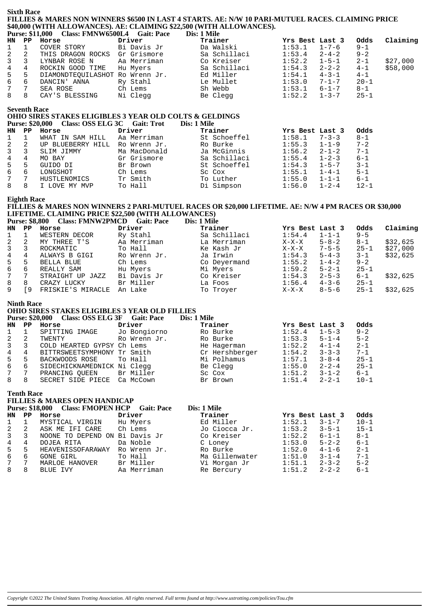# **Sixth Race FILLIES & MARES NON WINNERS \$6500 IN LAST 4 STARTS. AE: N/W 10 PARI-MUTUEL RACES. CLAIMING PRICE \$40,000 (WITH ALLOWANCES). AE: CLAIMING \$22,500 (WITH ALLOWANCES).**

|                                                                    |                         | Dis: 1 Mile                                                                                                                                                                      |        |                                                                                                                                                                  |                    |
|--------------------------------------------------------------------|-------------------------|----------------------------------------------------------------------------------------------------------------------------------------------------------------------------------|--------|------------------------------------------------------------------------------------------------------------------------------------------------------------------|--------------------|
|                                                                    | Driver                  | Trainer                                                                                                                                                                          |        | Odds                                                                                                                                                             | Claiming           |
| COVER STORY                                                        |                         | Da Walski                                                                                                                                                                        |        | $9 - 1$                                                                                                                                                          |                    |
|                                                                    |                         | Sa Schillaci                                                                                                                                                                     |        | $9 - 2$                                                                                                                                                          |                    |
| LYNBAR ROSE N                                                      |                         | Co Kreiser                                                                                                                                                                       | 1:52.2 | $2 - 1$                                                                                                                                                          | \$27,000           |
| ROCKIN GOOD TIME                                                   |                         | Sa Schillaci                                                                                                                                                                     |        |                                                                                                                                                                  | \$58,000           |
|                                                                    |                         | Ed Miller                                                                                                                                                                        |        |                                                                                                                                                                  |                    |
| DANCIN' ANNA                                                       | Ry Stahl                | Le Mullet                                                                                                                                                                        | 1:53.0 | $20 - 1$                                                                                                                                                         |                    |
| SEA ROSE                                                           | Ch Lems                 | Sh Webb                                                                                                                                                                          | 1:53.1 | $8 - 1$                                                                                                                                                          |                    |
|                                                                    |                         | Be Clegg                                                                                                                                                                         |        | $25 - 1$                                                                                                                                                         |                    |
| HN PP<br>1 1<br>$3 \overline{3}$<br>4 4<br>5 5<br>66<br>7 7<br>8 8 | Horse<br>CAY'S BLESSING | Purse: \$11,000    Class: FMNW6500L4    Gait: Pace<br>Bi Davis Jr<br>2 2 THIS DRAGON ROCKS Gr Grismore<br>Aa Merriman<br>Hu Myers<br>DIAMONDTEOUILASHOT Ro Wrenn Jr.<br>Ni Clegg |        | Yrs Best Last 3<br>$1:53.1$ $1-7-6$<br>$1:53.4$ $2-4-2$<br>$1 - 5 - 1$<br>$1:54.3$ $2-2-2$<br>$1:54.1$ $4-3-1$<br>$7 - 1 - 7$<br>$6 - 1 - 7$<br>$1:52.2$ $1-3-7$ | $4 - 1$<br>$4 - 1$ |

#### **Seventh Race**

# **OHIO SIRES STAKES ELIGIBLES 3 YEAR OLD COLTS & GELDINGS Purse: \$20,000 Class: OSS ELG 3C Gait: Trot Dis: 1 Mile**

| HN | PP | Horse             | Driver       | Trainer      | Yrs Best Last 3 |             | Odds     |
|----|----|-------------------|--------------|--------------|-----------------|-------------|----------|
|    |    | WHAT IN SAM HILL  | Aa Merriman  | St Schoeffel | 1:58.1          | $7 - 3 - 3$ | $8 - 1$  |
|    |    | UP BLUEBERRY HILL | Ro Wrenn Jr. | Ro Burke     | 1:55.3          | $1 - 1 - 9$ | $7 - 2$  |
|    |    | SLIM JIMMY        | Ma MacDonald | Ja McGinnis  | 1:56.2          | $2 - 1 - 2$ | $7 - 1$  |
|    |    | MO BAY            | Gr Grismore  | Sa Schillaci | 1:55.4          | $1 - 2 - 3$ | $6 - 1$  |
| 5. | 5  | GUIDO DI          | Br Brown     | St Schoeffel | 1:54.3          | $1 - 5 - 7$ | $3 - 1$  |
| 6  | b  | LONGSHOT          | Ch Lems      | Sc Cox       | 1:55.1          | $1 - 4 - 1$ | $5 - 1$  |
|    |    | HUSTLENOMICS      | Tr Smith     | To Luther    | 1:55.0          | $1 - 1 - 1$ | $6 - 1$  |
|    | 8  | I LOVE MY MVP     | To Hall      | Di Simpson   | 1:56.0          | $1 - 2 - 4$ | $12 - 1$ |

## **Eighth Race**

# **FILLIES & MARES NON WINNERS 2 PARI-MUTUEL RACES OR \$20,000 LIFETIME. AE: N/W 4 PM RACES OR \$30,000 LIFETIME. CLAIMING PRICE \$22,500 (WITH ALLOWANCES)**

| <b>Purse: \$8,800</b> |     | <b>Class: FMNW2PMCD</b> | <b>Gait: Pace</b> | Dis: 1 Mile  |                 |             |          |          |
|-----------------------|-----|-------------------------|-------------------|--------------|-----------------|-------------|----------|----------|
| HN                    | PP. | Horse                   | Driver            | Trainer      | Yrs Best Last 3 |             | Odds     | Claiming |
|                       |     | WESTERN DECOR           | Ry Stahl          | Sa Schillaci | 1:54.4          | $1 - 1 - 1$ | $9 - 5$  |          |
| 2                     |     | MY THREE T'S            | Aa Merriman       | La Merriman  | $X-X-X$         | $5 - 8 - 2$ | $8 - 1$  | \$32,625 |
| 3                     |     | ROCKMATIC               | To Hall           | Ke Kash Jr   | $X-X-X$         | $7 - 5 - 5$ | $25 - 1$ | \$27,000 |
| 4                     | 4   | ALWAYS B GIGI           | Ro Wrenn Jr.      | Ja Irwin     | 1:54.3          | $5 - 4 - 3$ | $3 - 1$  | \$32,625 |
| 5                     | 5   | BELLA BLUE              | Ch Lems           | Co Deyermand | 1:55.2          | $1 - 4 - 2$ | $9 - 2$  |          |
| 6                     | 6   | REALLY SAM              | Hu Myers          | Mi Myers     | 1:59.2          | $5 - 2 - 1$ | $25 - 1$ |          |
| $7\degree$            | 7   | STRAIGHT UP JAZZ        | Bi Davis Jr       | Co Kreiser   | 1:54.3          | $2 - 5 - 3$ | $6 - 1$  | \$32,625 |
| 8                     | 8   | CRAZY LUCKY             | Br Miller         | La Foos      | 1:56.4          | $4 - 3 - 6$ | $25 - 1$ |          |
| 9                     | 9   | FRISKIE'S MIRACLE       | An Lake           | To Troyer    | $X-X-X$         | $8 - 5 - 6$ | $25 - 1$ | \$32.625 |

## **Ninth Race**

# **OHIO SIRES STAKES ELIGIBLES 3 YEAR OLD FILLIES**

|              |    | <b>Class: OSS ELG 3F</b><br><b>Purse: \$20,000</b> | <b>Gait: Pace</b> | Dis: 1 Mile    |                       |          |
|--------------|----|----------------------------------------------------|-------------------|----------------|-----------------------|----------|
| HN           | PP | Horse                                              | Driver            | Trainer        | Yrs Best Last 3       | Odds     |
|              |    | SPITTING IMAGE                                     | Jo Bongiorno      | Ro Burke       | 1:52.4<br>$1 - 5 - 3$ | $9 - 2$  |
|              | 2  | TWENTY                                             | Ro Wrenn Jr.      | Ro Burke       | $5 - 1 - 4$<br>1:53.3 | $5 - 2$  |
| $\mathbf{3}$ | 3  | COLD HEARTED GYPSY Ch Lems                         |                   | He Hagerman    | 1:52.2<br>$4 - 1 - 4$ | $2 - 1$  |
| 4            | 4  | BITTRSWEETSYMPHONY Tr Smith                        |                   | Cr Hershberger | $3 - 3 - 3$<br>1:54.2 | $7 - 1$  |
| 5            | 5  | BACKWOODS ROSE                                     | To Hall           | Mi Polhamus    | $3 - 8 - 4$<br>1:57.1 | $25 - 1$ |
| 6            | 6  | SIDECHICKNAMEDNICK Ni Clegg                        |                   | Be Clegg       | $2 - 2 - 4$<br>1:55.0 | $25 - 1$ |
| 7            |    | PRANCING OUEEN                                     | Br Miller         | Sc Cox         | $3 - 1 - 2$<br>1:51.2 | 6-1      |
| 8            | 8  | SECRET SIDE PIECE                                  | Ca McCown         | Br Brown       | 1:51.4<br>$2 - 2 - 1$ | $10 - 1$ |

#### **Tenth Race**

# **FILLIES & MARES OPEN HANDICAP**

| Odds<br>Yrs Best Last 3 |                         |
|-------------------------|-------------------------|
|                         |                         |
|                         |                         |
| $15 - 1$<br>$3 - 5 - 1$ |                         |
| $8 - 1$<br>$6 - 1 - 1$  |                         |
| $5 - 2 - 2$<br>6-1      |                         |
| $2 - 1$<br>$4 - 1 - 6$  |                         |
| $3 - 1 - 4$<br>$7 - 1$  |                         |
| $2 - 3 - 2$<br>$5 - 2$  |                         |
| $6 - 1$<br>$2 - 2 - 2$  |                         |
|                         | $10 - 1$<br>$3 - 1 - 7$ |